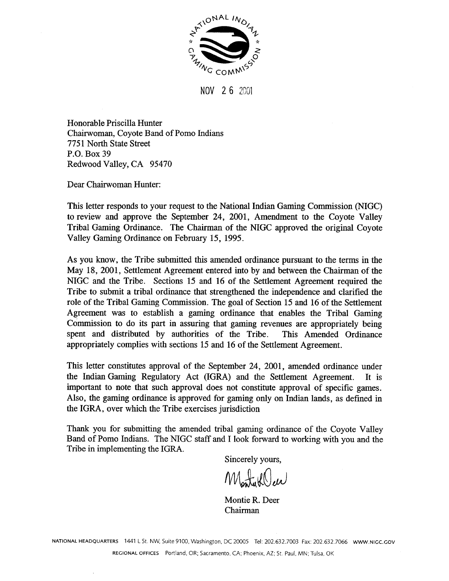

**NOV 26 2001** 

Honorable Priscilla Hunter Chairwoman, Coyote Band of Pomo Indians 775 1 North State Street **P.O.** Box 39 Redwood Valley, CA 95470

Dear Chairwoman Hunter:

This letter responds to your request to the National Indian Gaming Commission (NIGC) to review and approve the September 24, 2001, Amendment to the Coyote Valley Tribal Gaming Ordinance. The Chairman of the NIGC approved the original Coyote Valley Gaming Ordinance on February 15, 1995.

As you know, the Tribe submitted this amended ordinance pursuant to the terms in the May 18, 2001, Settlement Agreement entered into by and between the Chairman of the NIGC and the Tribe. Sections 15 and 16 of the Settlement Agreement required the Tribe to submit a tribal ordinance that strengthened the independence and clarified the role of the Tribal Gaming Commission. The goal of Section 15 and 16 of the Settlement Agreement was to establish a gaming ordinance that enables the Tribal Gaming Commission to do its part in assuring that gaming revenues are appropriately being spent and distributed by authorities of the Tribe. This Amended Ordinance appropriately complies with sections 15 and 16 of the Settlement Agreement.

This letter constitutes approval of the September 24, 2001, amended ordinance under the Indian Gaming Regulatory Act (IGRA) and the Settlement Agreement. It is important to note that such approval does not constitute approval of specific games. Also, the gaming ordinance is approved for gaming only on Indian lands, as defined in the IGRA, over which the Tribe exercises jurisdiction

Thank you for submitting the amended tribal gaming ordinance of the Coyote Valley Band of Pomo Indians. The NIGC staff and I look forward to working with you and the Tribe in implementing the IGRA.

Sincerely yours,

Montakeller

Montie R. Deer Chairman

**NATIONAL HEADQUARTERS** 1441 L St. NW, Suite 9100, Washington, DC 20005 Tel: 202.632.7003 Fax: 202.632.7066 **www.NlGC.GOV**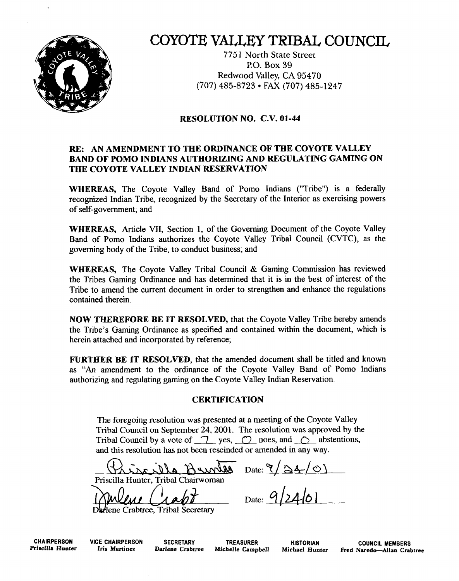

## COYOTE VALLEY TRIBAL COUNCIL

775 1 North State Street PO. Box 39 Redwood Valley, **CA** 95470 (707) 485-8723 FAX (707) 485- 1247

### **RESOLUTION NO. C.V. 01-44**

### **RE: AN AMENDMENT TO THE ORDINANCE OF THE COYOTE VALLEY BAND OF POMO INDIANS AUTHORIZING AND REGULATING GAMING ON THE COYOTE VALLEY INDIAN RESERVATION**

**WHEREAS,** The Coyote Valley Band of Pomo Indians ("Tribe") is a federally recognized Indian Tribe, recognized by the Secretary of the Interior as exercising powers of self-government; and

**WHEREAS,** Article **VII,** Section 1, of the Governing Document of the Coyote Valley Band of Pomo Indians authorizes the Coyote Valley Tribal Council (CVTC), as the governing body of the Tribe, to conduct business; and

**WHEREAS,** The Coyote Valley Tribal Council & Gaming Commission has reviewed the Tribes Gaming Ordinance and has determined that it is in the best of interest of the Tribe to amend the current document in order to strengthen and enhance the regulations contained therein.

**NOW THEREFORE BE IT RESOLVED, that the Coyote Valley Tribe hereby amends** the Tribe's Gaming Ordinance as specified and contained within the document, which is herein attached and incorporated by reference;

**FURTHER BE IT RESOLVED,** that the amended document shall be titled and known as **"An** amendment to the ordinance of the Coyote Valley Band of Pomo Indians authorizing and regulating gaming on the Coyote Valley Indian Reservation.

### **CERTIFICATION**

The foregoing resolution was presented at a meeting of the Coyote Valley Tribal Council on September 24,2001. The resolution **was** approved by the Tribal Council by a vote of  $\Box$  yes,  $\Box$  noes, and  $\Box$  abstentions, and this resolution **has** not been rescinded or amended in any way. *C*  Expressive details and a meeting of the Coyote valley<br>
24, 2001. The resolution was approved by the<br>
2 yes,  $\bigcirc$  noes, and  $\bigcirc$  abstentions,<br>
een rescinded or amended in any way.<br>
2 yes,  $\bigcirc$  Date:  $\bigcirc$   $\bigcirc$   $\bigcirc$   $\$ 

Priscilla Hunter. Tribal Chairwoman

Darlene Crabtree, Tribal Secretary

**CHAIRPERSON VICE CHAIRPERSON SECRETARY TREASURER HISTORIAN COUNCIL MEMBERS**<br>Priscilla Hunter Iris Martinez Darlene Crabtree Michelle Campbell Michael Hunter Fred Naredo—Allan Crab **Priscilla Hunter Iris Martinez Darlene Crabtree Michelle Campbell Michael Hunter Fred Naredo-Allan Crabtree**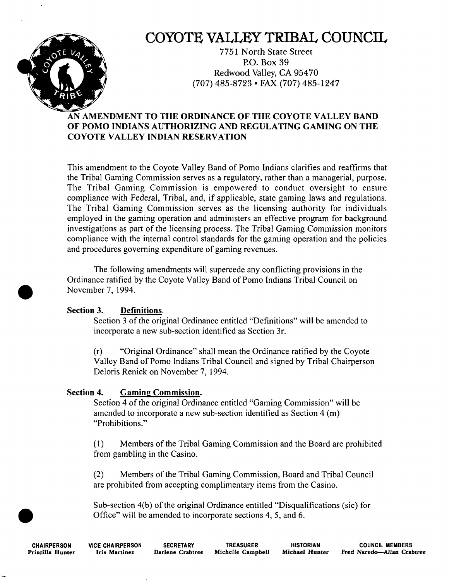

# COYOTE VALLEY TRIBAL COUNCIL

775 1 North State Street PO. Box 39 Redwood Valley, CA 95470 (707) 485-8723 FAX (707) 485-1247

## **AN AMENDMENT TO THE ORDINANCE OF THE COYOTE VALLEY BAND OF POMO INDIANS AUTHORIZING AND REGULATING GAMING ON THE COYOTE VALLEY INDIAN RESERVATION**

This amendment to the Coyote Valley Band of Pomo Indians clarifies and reaffirms that the Tribal Gaming Commission serves as a regulatory, rather than a managerial, purpose. The Tribal Gaming Commission is empowered to conduct oversight to ensure compliance with Federal, Tribal, and, if applicable, state gaming laws and regulations. The Tribal Gaming Commission serves as the licensing authority for individuals employed in the gaming operation and administers an effective program for background investigations as part of the licensing process. The Tribal Gaming Commission monitors compliance with the internal control standards for the gaming operation and the policies and procedures governing expenditure of gaming revenues.

The following amendments will supercede any conflicting provisions in the Ordinance ratified by the Coyote Valley Band of Pomo Indians Tribal Council on November 7, 1994.

## **Section 3. Definitions.**

Section 3 of the original Ordinance entitled "Definitions" will be amended to incorporate a new sub-section identified as Section 3r.

(r) "Original Ordinance" shall mean the Ordinance ratified by the Coyote Valley Band of Pomo Indians Tribal Council and signed by Tribal Chairperson Deloris Renick on November 7, 1994.

## **Section 4. Gaming Commission.**

Section 4 of the original Ordinance entitled "Gaming Commission" will be amended to incorporate a new sub-section identified as Section 4 (m) "Prohibitions."

(1) Members of the Tribal Gaming Commission and the Board are prohibited from gambling in the Casino.

**(2)** Members of the Tribal Gaming Commission, Board and Tribal Council are prohibited from accepting complimentary items from the Casino.

Sub-section 4(b) of the original Ordinance entitled "Disqualifications (sic) for Office" will be amended to incorporate sections 4, 5, and 6.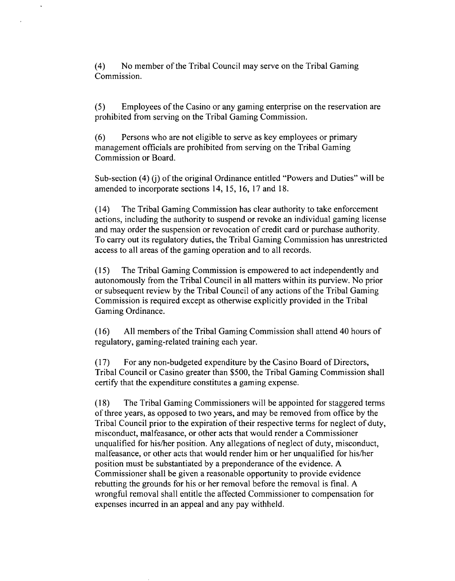(4) No member of the Tribal Council may serve on the Tribal Gaming Commission.

(5) Employees of the Casino or any gaming enterprise on the reservation are prohibited from serving on the Tribal Gaming Commission.

(6) Persons who are not eligible to serve as key employees or primary management officials are prohibited from serving on the Tribal Gaming Commission or Board.

Sub-section (4) (j) of the original Ordinance entitled "Powers and Duties" will be amended to incorporate sections 14, 15, 16, 17 and 18.

(14) The Tribal Gaming Commission has clear authority to take enforcement actions, including the authority to suspend or revoke an individual gaming license and may order the suspension or revocation of credit card or purchase authority. To carry out its regulatory duties, the Tribal Gaming Commission has unrestricted access to all areas of the gaming operation and to all records.

(1 5) The Tribal Gaming Commission is empowered to act independently and autonomously from the Tribal Council in all matters within its purview. No prior or subsequent review by the Tribal Council of any actions of the Tribal Gaming Commission is required except as otherwise explicitly provided in the Tribal Gaming Ordinance.

(16) All members of the Tribal Gaming Commission shall attend 40 hours of regulatory, gaming-related training each year.

(1 **7)** For any non-budgeted expenditure by the Casino Board of Directors, Tribal Council or Casino greater than \$500, the Tribal Gaming Commission shall certify that the expenditure constitutes a gaming expense.

**(1 8)** The Tribal Gaming Commissioners will be appointed for staggered terms of three years, as opposed to two years, and may be removed from office by the Tribal Council prior to the expiration of their respective terms for neglect of duty, misconduct, malfeasance, or other acts that would render a Commissioner unqualified for hisher position. Any allegations of neglect of duty, misconduct, malfeasance, or other acts that would render him or her unqualified for his/her position must be substantiated by a preponderance of the evidence. A Commissioner shall be given a reasonable opportunity to provide evidence rebutting the grounds for his or her removal before the removal is final. A wrongful removal shall entitle the affected Commissioner to compensation for expenses incurred in an appeal and any pay withheld.